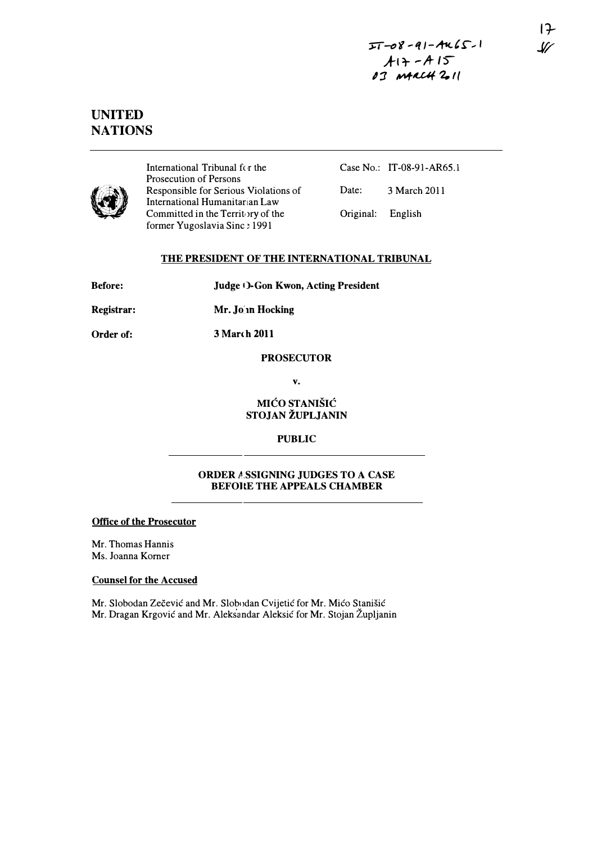# UNITED **NATIONS**



International Tribunal for the Prosecution of Persons Responsible for Serious Violations of International Humanitarian Law Committed in the Territory of the former Yugoslavia Sinc: 1991

Case No.: IT-08-91-AR6S.l

Date: 3 March 2011

Original: English

# THE PRESIDENT OF THE INTERNATIONAL TRIBUNAL

| <b>Before:</b> | <b>Judge ()-Gon Kwon, Acting President</b> |
|----------------|--------------------------------------------|
| Registrar:     | Mr. Jo in Hocking                          |

Order of: 3 March 2011

# **PROSECUTOR**

v.

#### **MIĆO STANIŠIĆ** STOJAN ŽUPLJANIN

# PUBLIC

# ORDER A.sSIGNlNG JUDGES TO A CASE BEFORE THE APPEALS CHAMBER

# Office of the Prosecutor

Mr. Thomas Hannis Ms. Joanna Komer

# Counsel for the Accused

Mr. Slobodan Zečević and Mr. Slobodan Cvijetić for Mr. Mićo Stanišić Mr. Dragan Krgovic and Mr. Aleksandar Aleksic for Mr. Stojan Zupljanin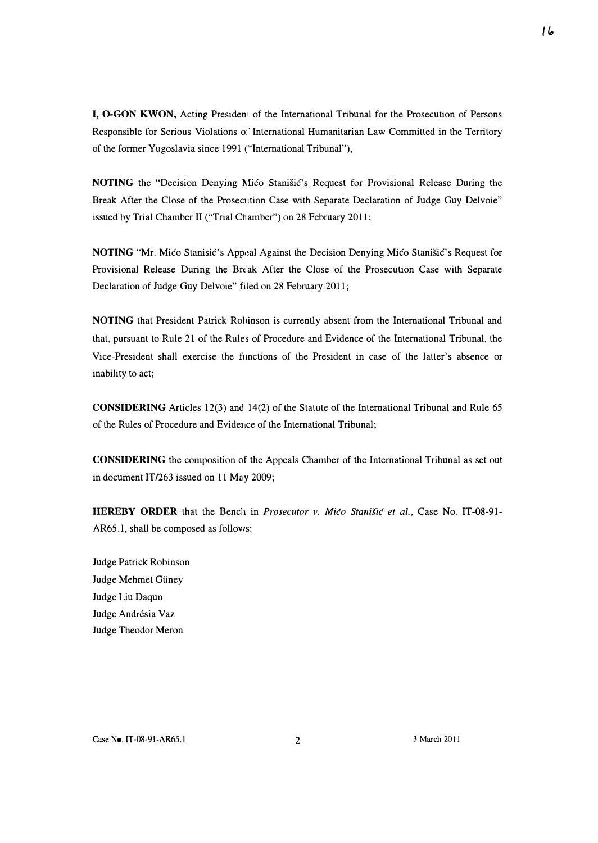I, O·GON KWON, Acting Presiden! of the International Tribunal for the Prosecution of Persons Responsible for Serious Violations of International Humanitarian Law Committed in the Territory of the former Yugoslavia since 1991 ("International Tribunal"),

NOTING the "Decision Denying Mico Stanisic's Request for Provisional Release During the Break After the Close of the Prosecution Case with Separate Declaration of Judge Guy Delvoie" issued by Trial Chamber 11 ("Trial Chamber") on 28 February 2011;

NOTING "Mr. Mićo Stanisić's Appeal Against the Decision Denying Mićo Stanišić's Request for Provisional Release During the Break After the Close of the Prosecution Case with Separate Declaration of Judge Guy Delvoie" filed on 28 February 2011;

NOTING that President Patrick Rohinson is currently absent from the International Tribunal and that, pursuant to Rule 21 of the Rules of Procedure and Evidence of the International Tribunal, the Vice-President shall exercise the functions of the President in case of the latter's absence or inability to act;

CONSIDERING Articles 12(3) and 14(2) of the Statute of the International Tribunal and Rule 65 of the Rules of Procedure and Evidence of the International Tribunal;

CONSIDERING the composition of the Appeals Chamber of the International Tribunal as set out in document IT/263 issued on 11 May 2009;

HEREBY ORDER that the Bench in *Prosecutor v. Mićo Stanišić et al.*, Case No. IT-08-91-AR65.1, shall be composed as follows:

Judge Patrick Robinson Judge Mehmet Giiney Judge Liu Daqun Judge Andrésia Vaz Judge Theodor Meron